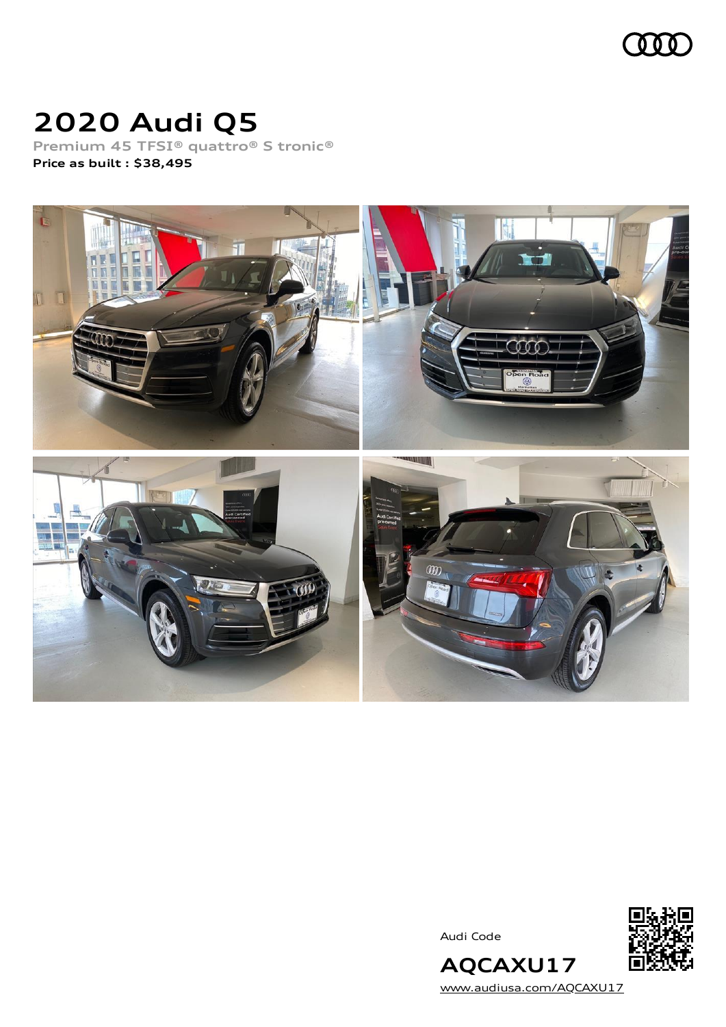

## **2020 Audi Q5**

**Premium 45 TFSI® quattro® S tronic® Price as built [:](#page-8-0) \$38,495**



Audi Code



[www.audiusa.com/AQCAXU17](https://www.audiusa.com/AQCAXU17)

**AQCAXU17**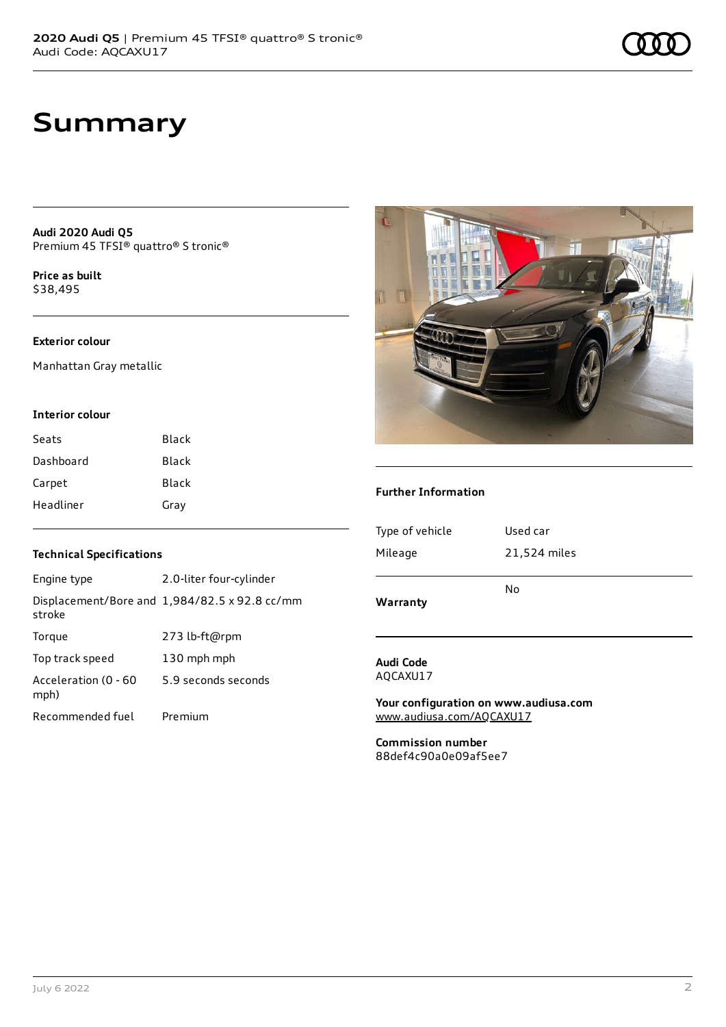### **Summary**

**Audi 2020 Audi Q5** Premium 45 TFSI® quattro® S tronic®

**Price as buil[t](#page-8-0)** \$38,495

### **Exterior colour**

Manhattan Gray metallic

#### **Interior colour**

| Seats     | Black |
|-----------|-------|
| Dashboard | Black |
| Carpet    | Black |
| Headliner | Gray  |

#### **Technical Specifications**

| Engine type                  | 2.0-liter four-cylinder                       |
|------------------------------|-----------------------------------------------|
| stroke                       | Displacement/Bore and 1,984/82.5 x 92.8 cc/mm |
| Torque                       | 273 lb-ft@rpm                                 |
| Top track speed              | 130 mph mph                                   |
| Acceleration (0 - 60<br>mph) | 5.9 seconds seconds                           |
| Recommended fuel             | Premium                                       |



#### **Further Information**

| Warranty        | No           |
|-----------------|--------------|
| Mileage         | 21,524 miles |
| Type of vehicle | Used car     |
|                 |              |

#### **Audi Code** AQCAXU17

**Your configuration on www.audiusa.com** [www.audiusa.com/AQCAXU17](https://www.audiusa.com/AQCAXU17)

**Commission number** 88def4c90a0e09af5ee7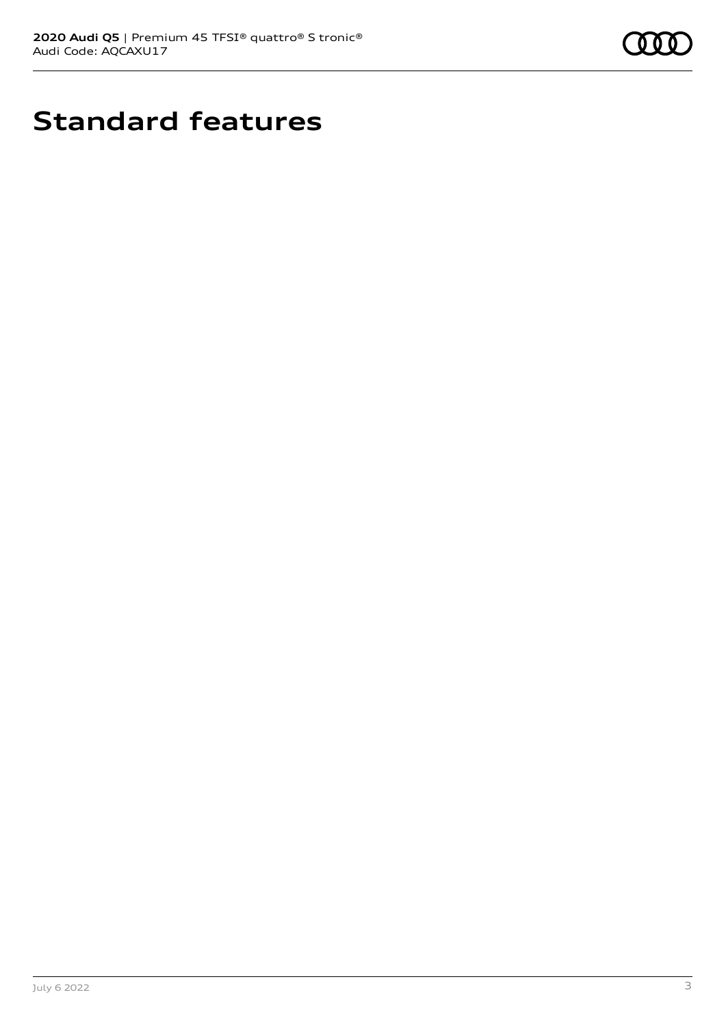

## **Standard features**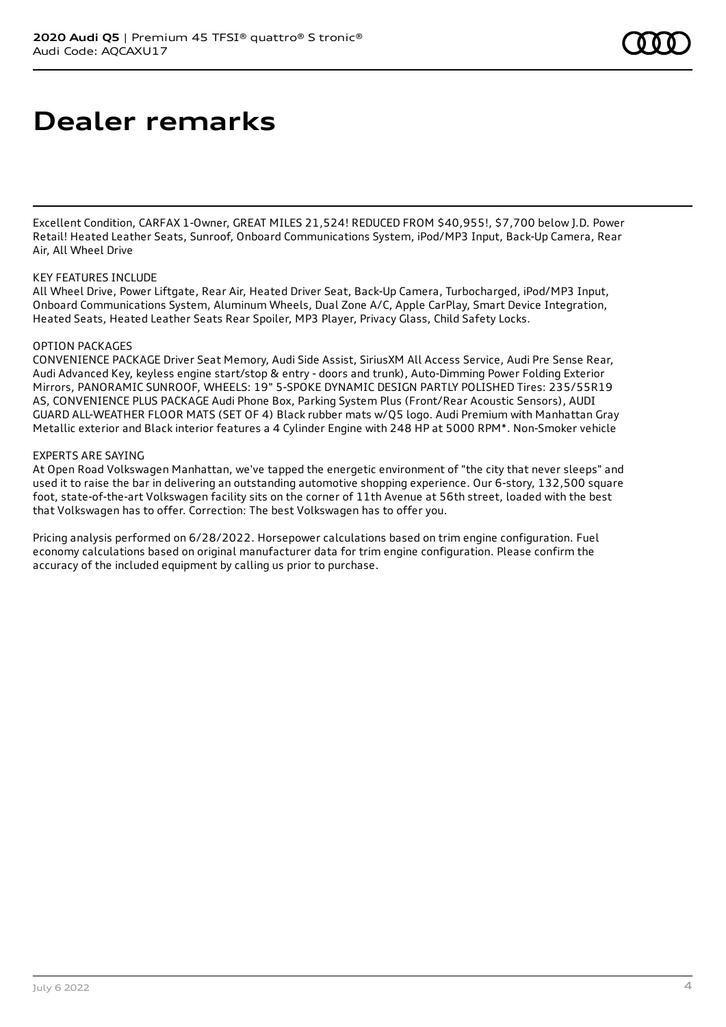### **Dealer remarks**

Excellent Condition, CARFAX 1-Owner, GREAT MILES 21,524! REDUCED FROM \$40,955!, \$7,700 below J.D. Power Retail! Heated Leather Seats, Sunroof, Onboard Communications System, iPod/MP3 Input, Back-Up Camera, Rear Air, All Wheel Drive

#### KEY FEATURES INCLUDE

All Wheel Drive, Power Liftgate, Rear Air, Heated Driver Seat, Back-Up Camera, Turbocharged, iPod/MP3 Input, Onboard Communications System, Aluminum Wheels, Dual Zone A/C, Apple CarPlay, Smart Device Integration, Heated Seats, Heated Leather Seats Rear Spoiler, MP3 Player, Privacy Glass, Child Safety Locks.

#### OPTION PACKAGES

CONVENIENCE PACKAGE Driver Seat Memory, Audi Side Assist, SiriusXM All Access Service, Audi Pre Sense Rear, Audi Advanced Key, keyless engine start/stop & entry - doors and trunk), Auto-Dimming Power Folding Exterior Mirrors, PANORAMIC SUNROOF, WHEELS: 19" 5-SPOKE DYNAMIC DESIGN PARTLY POLISHED Tires: 235/55R19 AS, CONVENIENCE PLUS PACKAGE Audi Phone Box, Parking System Plus (Front/Rear Acoustic Sensors), AUDI GUARD ALL-WEATHER FLOOR MATS (SET OF 4) Black rubber mats w/Q5 logo. Audi Premium with Manhattan Gray Metallic exterior and Black interior features a 4 Cylinder Engine with 248 HP at 5000 RPM\*. Non-Smoker vehicle

### EXPERTS ARE SAYING

At Open Road Volkswagen Manhattan, we've tapped the energetic environment of "the city that never sleeps" and used it to raise the bar in delivering an outstanding automotive shopping experience. Our 6-story, 132,500 square foot, state-of-the-art Volkswagen facility sits on the corner of 11th Avenue at 56th street, loaded with the best that Volkswagen has to offer. Correction: The best Volkswagen has to offer you.

Pricing analysis performed on 6/28/2022. Horsepower calculations based on trim engine configuration. Fuel economy calculations based on original manufacturer data for trim engine configuration. Please confirm the accuracy of the included equipment by calling us prior to purchase.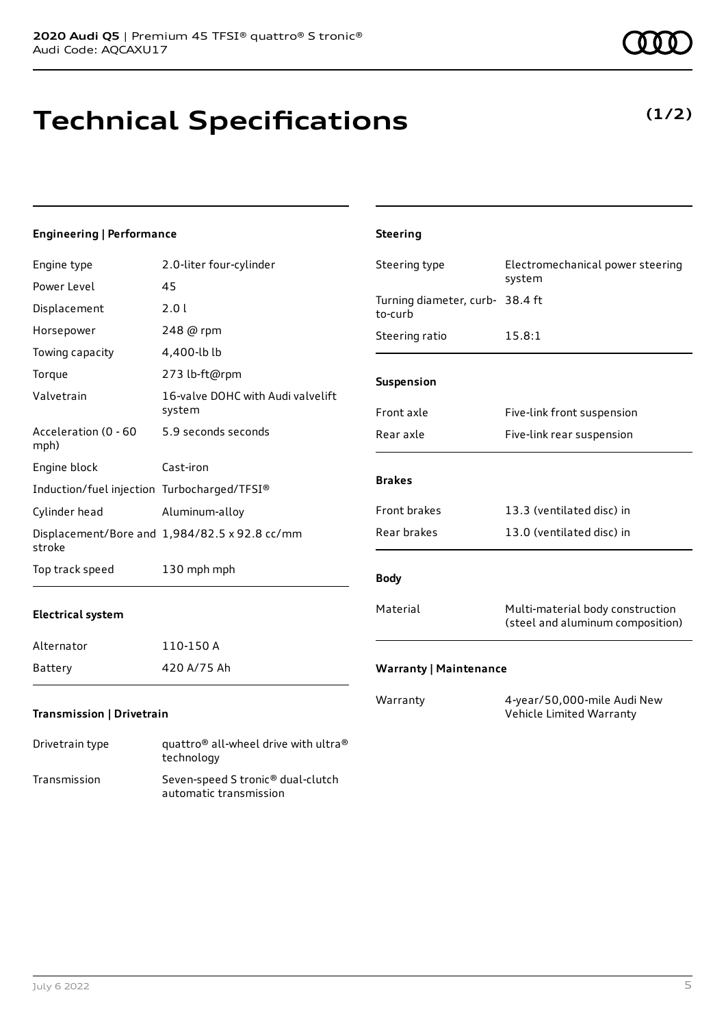## **Technical Specifications**

### **Engineering | Performance**

| Cylinder head                               | Aluminum-alloy                                | Front brakes                               | 13.3 (ventilated disc) in  |
|---------------------------------------------|-----------------------------------------------|--------------------------------------------|----------------------------|
|                                             | Displacement/Bore and 1,984/82.5 x 92.8 cc/mm | Rear brakes                                | 13.0 (ventilated disc) in  |
| stroke                                      |                                               |                                            |                            |
|                                             |                                               |                                            |                            |
|                                             |                                               |                                            |                            |
|                                             |                                               |                                            |                            |
|                                             |                                               |                                            |                            |
|                                             |                                               |                                            |                            |
| Induction/fuel injection Turbocharged/TFSI® |                                               |                                            |                            |
|                                             |                                               | <b>Brakes</b>                              |                            |
| Engine block                                | Cast-iron                                     |                                            |                            |
| Acceleration (0 - 60<br>mph)                | 5.9 seconds seconds                           | Rear axle                                  | Five-link rear suspension  |
|                                             | system                                        | Front axle                                 | Five-link front suspension |
| Valvetrain                                  | 16-valve DOHC with Audi valvelift             |                                            |                            |
| Torque                                      | 273 lb-ft@rpm                                 | Suspension                                 |                            |
| Towing capacity                             | 4,400-lb lb                                   |                                            |                            |
| Horsepower                                  | 248 @ rpm                                     | Steering ratio                             | 15.8:1                     |
| Displacement                                | 2.01                                          | Turning diameter, curb- 38.4 ft<br>to-curb |                            |
| Power Level                                 | 45                                            |                                            | system                     |
|                                             |                                               |                                            |                            |

July 6 2022 5

**Steering**

| Drivetrain type | quattro <sup>®</sup> all-wheel drive with ultra <sup>®</sup><br>technology |
|-----------------|----------------------------------------------------------------------------|
| Transmission    | Seven-speed S tronic <sup>®</sup> dual-clutch<br>automatic transmission    |

# **(1/2)**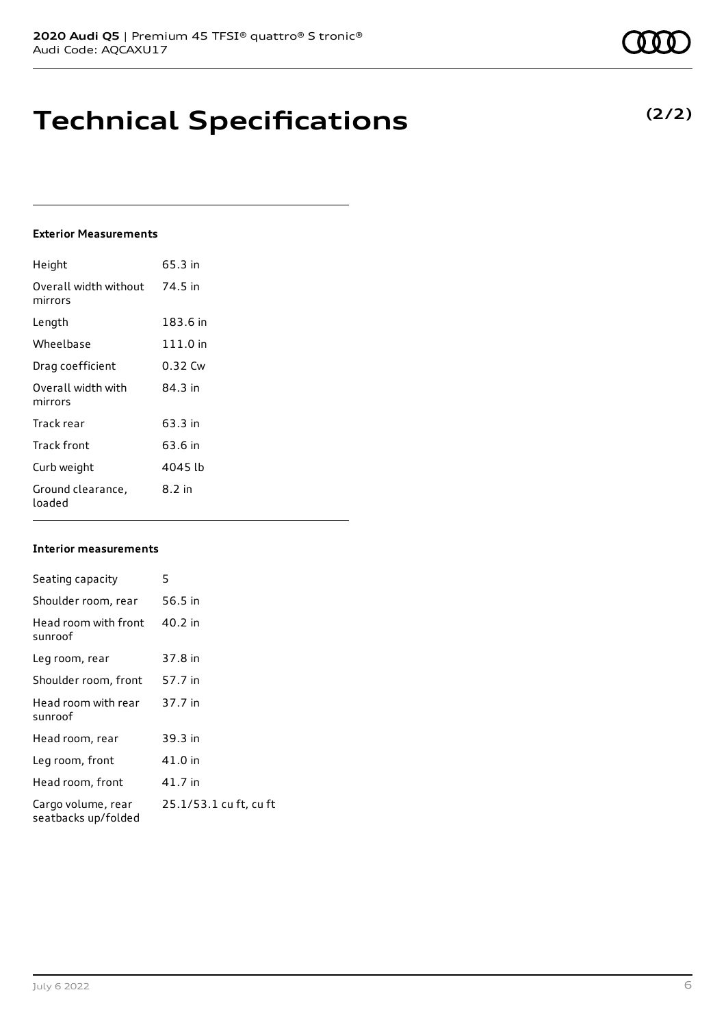### **Technical Specifications**

### **Exterior Measurements**

| Height                           | 65.3 in  |
|----------------------------------|----------|
| Overall width without<br>mirrors | 74.5 in  |
| Length                           | 183.6 in |
| Wheelbase                        | 111.0 in |
| Drag coefficient                 | 0.32 Cw  |
| Overall width with<br>mirrors    | 84 3 in  |
| Track rear                       | 63.3 in  |
| Track front                      | 63.6 in  |
| Curb weight                      | 4045 lb  |
| Ground clearance,<br>loaded      | 8.2 in   |

#### **Interior measurements**

| Seating capacity                          | 5                      |
|-------------------------------------------|------------------------|
| Shoulder room, rear                       | 56.5 in                |
| Head room with front<br>sunroof           | 40.2 in                |
| Leg room, rear                            | 37.8 in                |
| Shoulder room, front                      | 57.7 in                |
| Head room with rear<br>sunroof            | 37.7 in                |
| Head room, rear                           | 39.3 in                |
| Leg room, front                           | 41.0 in                |
| Head room, front                          | 41.7 in                |
| Cargo volume, rear<br>seatbacks up/folded | 25.1/53.1 cu ft, cu ft |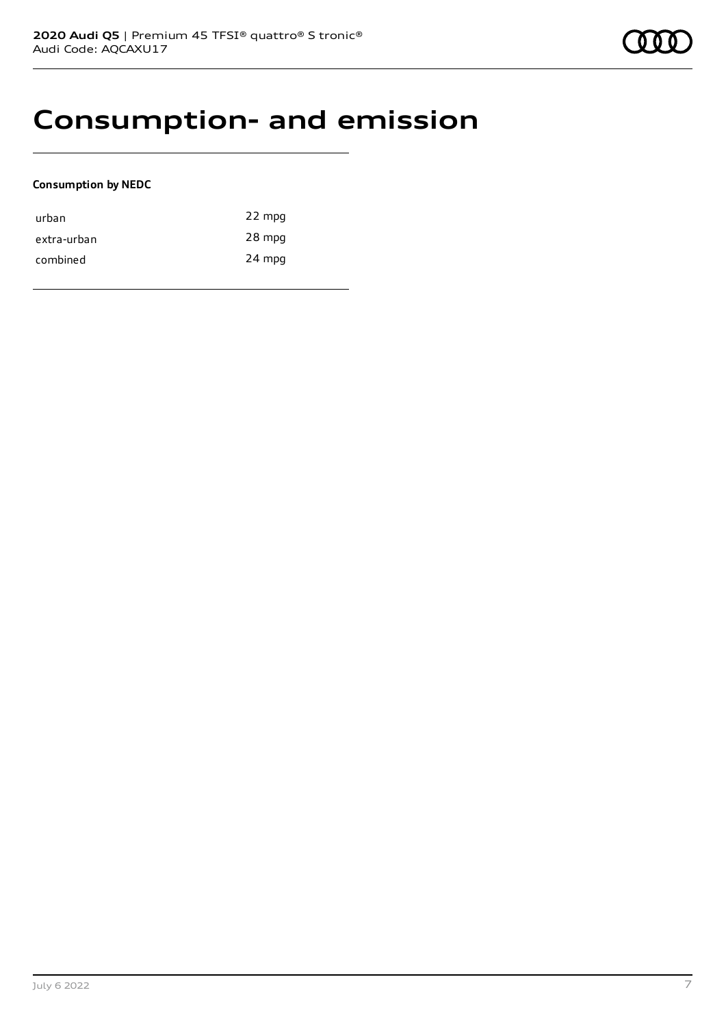### **Consumption- and emission**

### **Consumption by NEDC**

| urban       | 22 mpg |
|-------------|--------|
| extra-urban | 28 mpg |
| combined    | 24 mpg |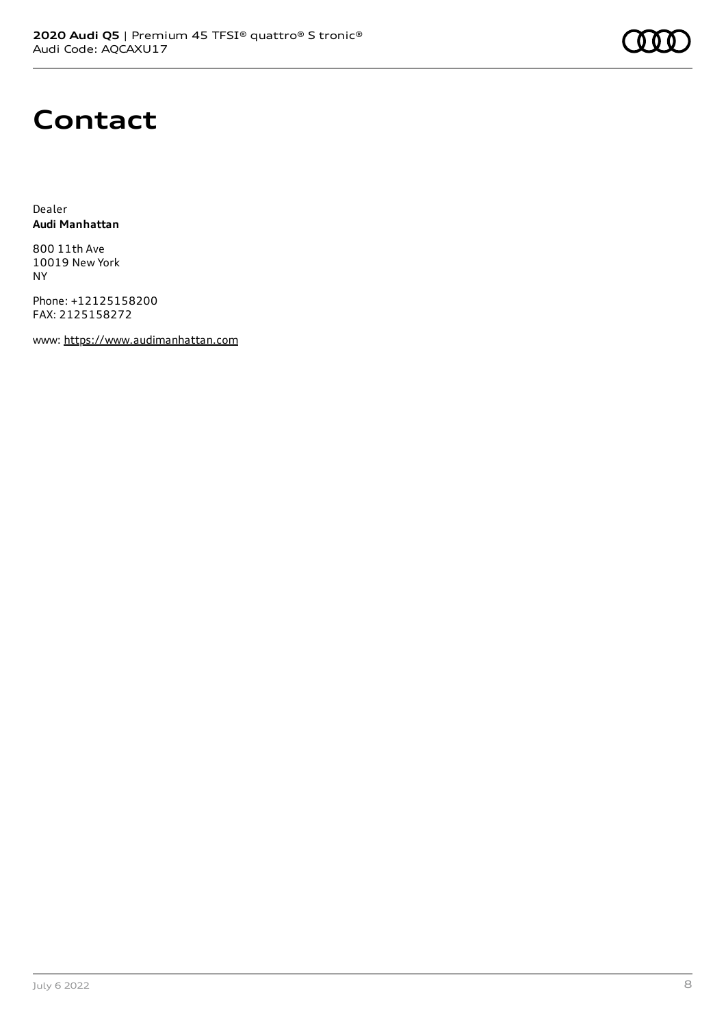

### **Contact**

Dealer **Audi Manhattan**

800 11th Ave 10019 New York NY

Phone: +12125158200 FAX: 2125158272

www: [https://www.audimanhattan.com](https://www.audimanhattan.com/)